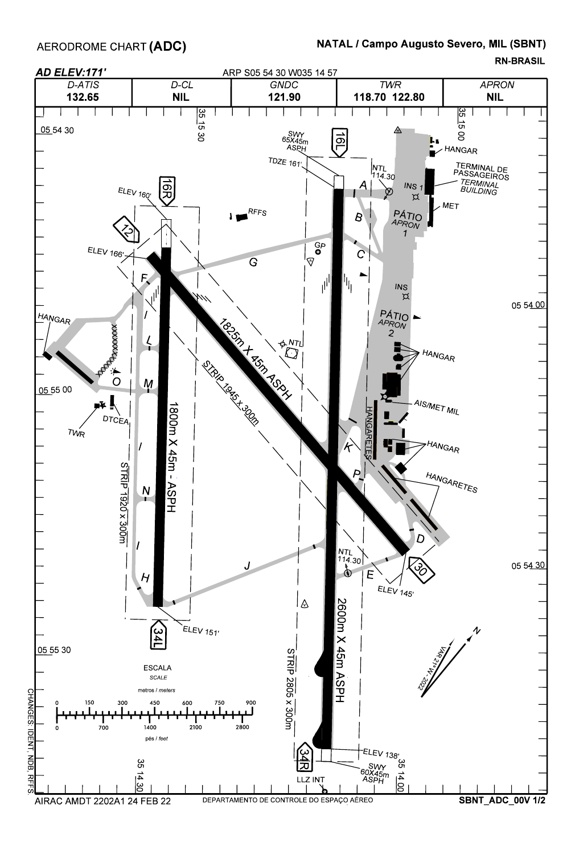AERODROME CHART **(ADC)** 

## NATAL / Campo Augusto Severo, MIL (SBNT)

RN-BRASIL